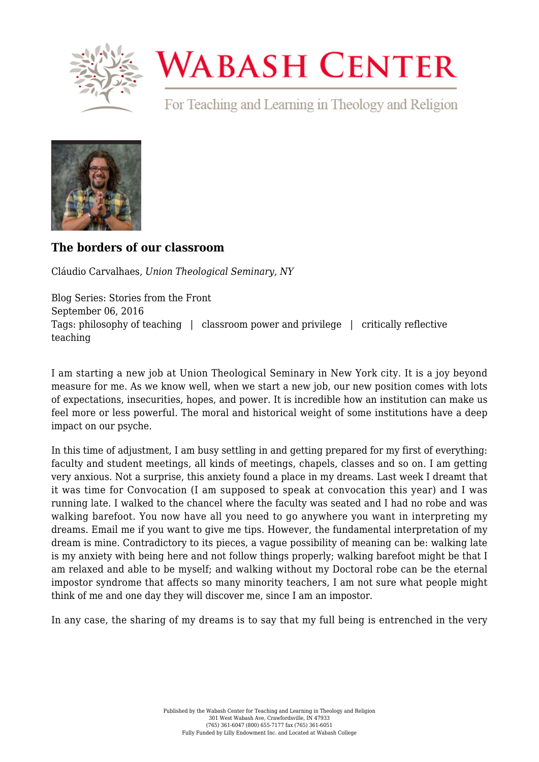

## **WABASH CENTER**

For Teaching and Learning in Theology and Religion



## **[The borders of our classroom](https://www.wabashcenter.wabash.edu/2016/09/the-borders-of-our-classroom/)**

Cláudio Carvalhaes, *Union Theological Seminary, NY*

Blog Series: Stories from the Front September 06, 2016 Tags: philosophy of teaching | classroom power and privilege | critically reflective teaching

I am starting a new job at Union Theological Seminary in New York city. It is a joy beyond measure for me. As we know well, when we start a new job, our new position comes with lots of expectations, insecurities, hopes, and power. It is incredible how an institution can make us feel more or less powerful. The moral and historical weight of some institutions have a deep impact on our psyche.

In this time of adjustment, I am busy settling in and getting prepared for my first of everything: faculty and student meetings, all kinds of meetings, chapels, classes and so on. I am getting very anxious. Not a surprise, this anxiety found a place in my dreams. Last week I dreamt that it was time for Convocation (I am supposed to speak at convocation this year) and I was running late. I walked to the chancel where the faculty was seated and I had no robe and was walking barefoot. You now have all you need to go anywhere you want in interpreting my dreams. Email me if you want to give me tips. However, the fundamental interpretation of my dream is mine. Contradictory to its pieces, a vague possibility of meaning can be: walking late is my anxiety with being here and not follow things properly; walking barefoot might be that I am relaxed and able to be myself; and walking without my Doctoral robe can be the eternal impostor syndrome that affects so many minority teachers, I am not sure what people might think of me and one day they will discover me, since I am an impostor.

In any case, the sharing of my dreams is to say that my full being is entrenched in the very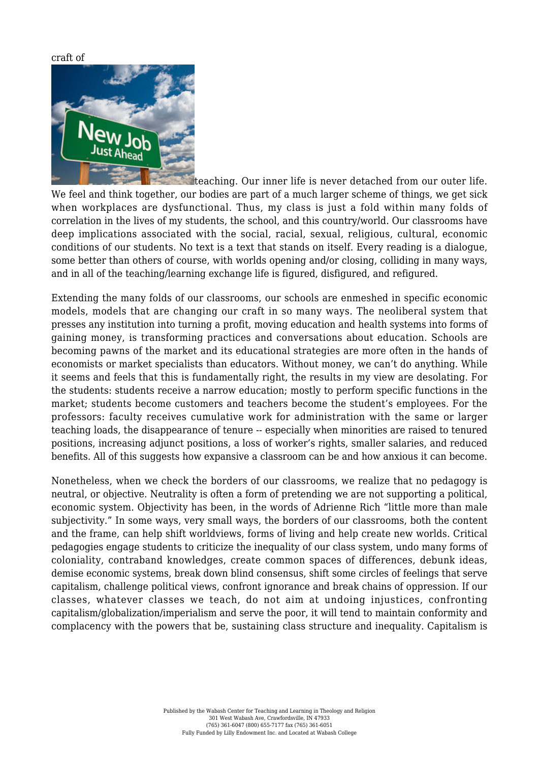craft of



[t](https://www.wabashcenter.wabash.edu/wp-content/uploads/2017/06/blog-the-borders-of-our-classroom-1.jpg)eaching. Our inner life is never detached from our outer life. We feel and think together, our bodies are part of a much larger scheme of things, we get sick when workplaces are dysfunctional. Thus, my class is just a fold within many folds of correlation in the lives of my students, the school, and this country/world. Our classrooms have deep implications associated with the social, racial, sexual, religious, cultural, economic conditions of our students. No text is a text that stands on itself. Every reading is a dialogue, some better than others of course, with worlds opening and/or closing, colliding in many ways, and in all of the teaching/learning exchange life is figured, disfigured, and refigured.

Extending the many folds of our classrooms, our schools are enmeshed in specific economic models, models that are changing our craft in so many ways. The neoliberal system that presses any institution into turning a profit, moving education and health systems into forms of gaining money, is transforming practices and conversations about education. Schools are becoming pawns of the market and its educational strategies are more often in the hands of economists or market specialists than educators. Without money, we can't do anything. While it seems and feels that this is fundamentally right, the results in my view are desolating. For the students: students receive a narrow education; mostly to perform specific functions in the market; students become customers and teachers become the student's employees. For the professors: faculty receives cumulative work for administration with the same or larger teaching loads, the disappearance of tenure -- especially when minorities are raised to tenured positions, increasing adjunct positions, a loss of worker's rights, smaller salaries, and reduced benefits. All of this suggests how expansive a classroom can be and how anxious it can become.

Nonetheless, when we check the borders of our classrooms, we realize that no pedagogy is neutral, or objective. Neutrality is often a form of pretending we are not supporting a political, economic system. Objectivity has been, in the words of Adrienne Rich "little more than male subjectivity." In some ways, very small ways, the borders of our classrooms, both the content and the frame, can help shift worldviews, forms of living and help create new worlds. Critical pedagogies engage students to criticize the inequality of our class system, undo many forms of coloniality, contraband knowledges, create common spaces of differences, debunk ideas, demise economic systems, break down blind consensus, shift some circles of feelings that serve capitalism, challenge political views, confront ignorance and break chains of oppression. If our classes, whatever classes we teach, do not aim at undoing injustices, confronting capitalism/globalization/imperialism and serve the poor, it will tend to maintain conformity and complacency with the powers that be, sustaining class structure and inequality. Capitalism is